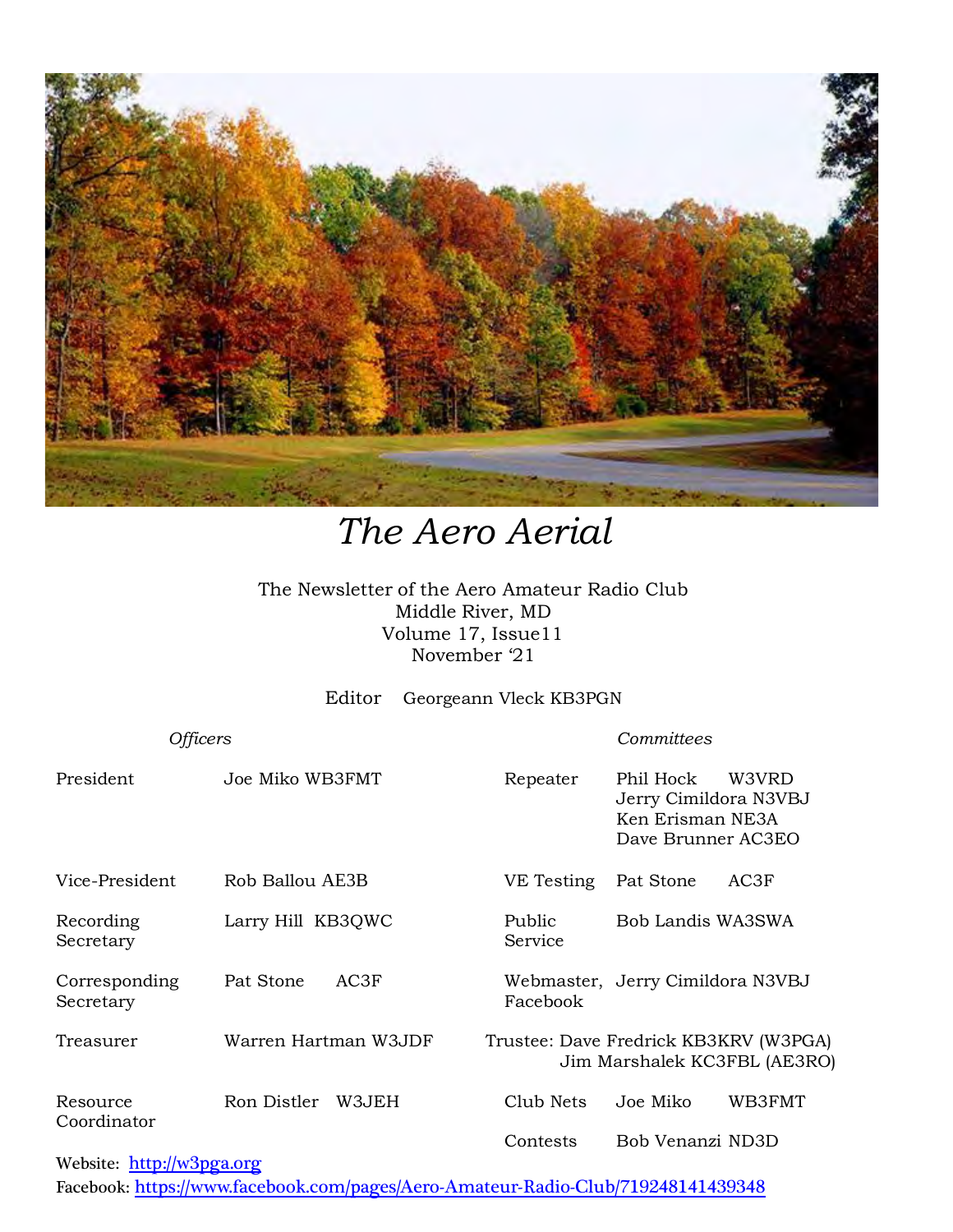

# *The Aero Aerial*

The Newsletter of the Aero Amateur Radio Club Middle River, MD Volume 17, Issue11 November '21

Editor Georgeann Vleck KB3PGN

| Officers                                                                                        |                      |                   | Committees                                                                            |  |
|-------------------------------------------------------------------------------------------------|----------------------|-------------------|---------------------------------------------------------------------------------------|--|
| President                                                                                       | Joe Miko WB3FMT      | Repeater          | Phil Hock<br>W3VRD<br>Jerry Cimildora N3VBJ<br>Ken Erisman NE3A<br>Dave Brunner AC3EO |  |
| Vice-President                                                                                  | Rob Ballou AE3B      | VE Testing        | AC3F<br>Pat Stone                                                                     |  |
| Recording<br>Secretary                                                                          | Larry Hill KB3QWC    | Public<br>Service | Bob Landis WA3SWA                                                                     |  |
| Corresponding<br>Secretary                                                                      | Pat Stone<br>AC3F    | Facebook          | Webmaster, Jerry Cimildora N3VBJ                                                      |  |
| Treasurer                                                                                       | Warren Hartman W3JDF |                   | Trustee: Dave Fredrick KB3KRV (W3PGA)<br>Jim Marshalek KC3FBL (AE3RO)                 |  |
| Resource<br>Coordinator<br>$\frac{1}{2}$ . The set of $\frac{1}{2}$ is the set of $\frac{1}{2}$ | Ron Distler<br>W3JEH | Club Nets         | Joe Miko<br>WB3FMT                                                                    |  |
|                                                                                                 |                      | Contests          | Bob Venanzi ND3D                                                                      |  |

### Website: [http://w](http://home.comcast.net/~frank-stone/Aero%20ARC/aero.htm)3pga.org

Facebook: <https://www.facebook.com/pages/Aero-Amateur-Radio-Club/719248141439348>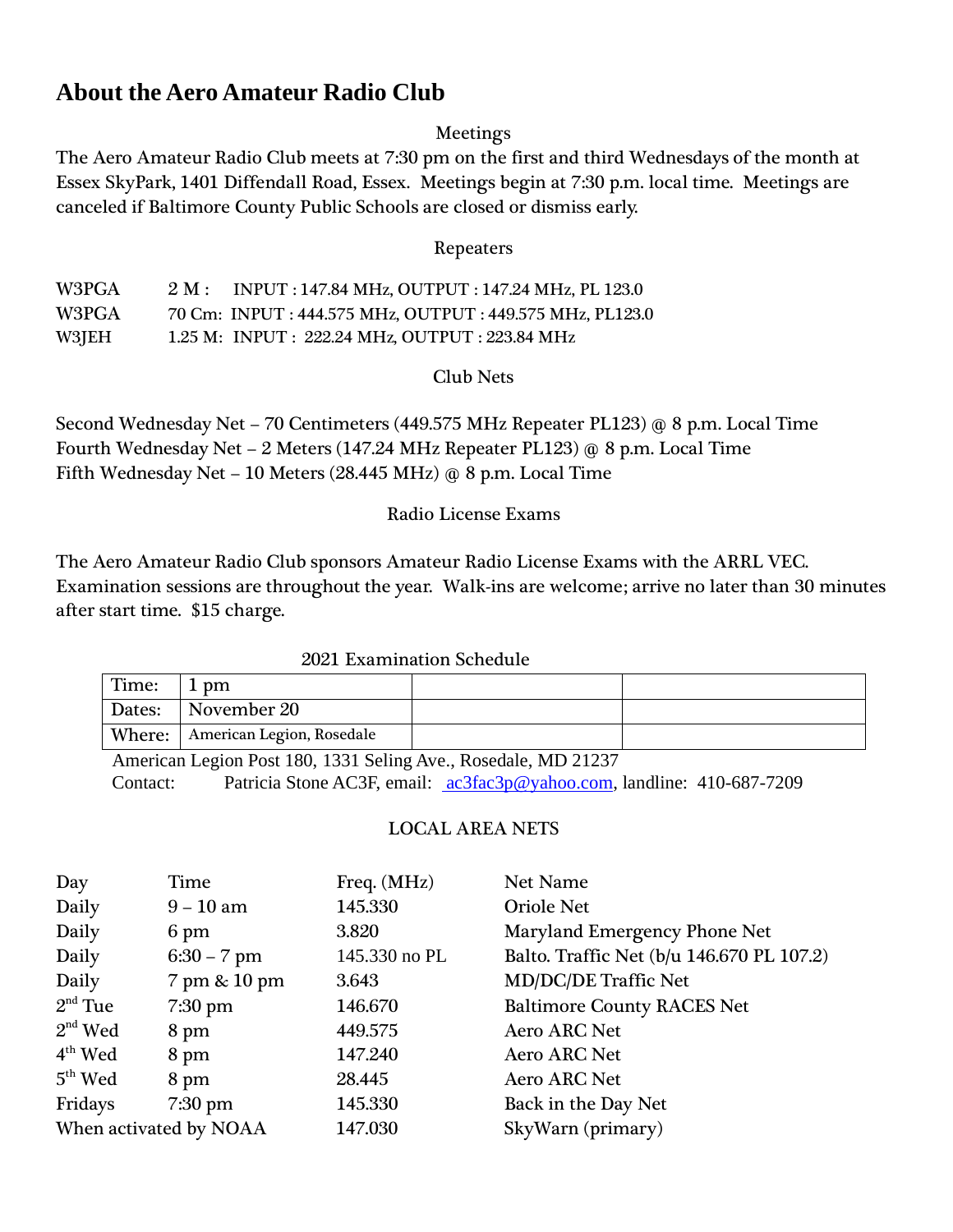### **About the Aero Amateur Radio Club**

### Meetings

The Aero Amateur Radio Club meets at 7:30 pm on the first and third Wednesdays of the month at Essex SkyPark, 1401 Diffendall Road, Essex. Meetings begin at 7:30 p.m. local time. Meetings are canceled if Baltimore County Public Schools are closed or dismiss early.

### Repeaters

| W3PGA | $2 M$ : INPUT : 147.84 MHz, OUTPUT : 147.24 MHz, PL 123.0 |
|-------|-----------------------------------------------------------|
| W3PGA | 70 Cm: INPUT: 444.575 MHz, OUTPUT: 449.575 MHz, PL123.0   |
| W3JEH | 1.25 M: INPUT : 222.24 MHz, OUTPUT : 223.84 MHz           |

### Club Nets

Second Wednesday Net – 70 Centimeters (449.575 MHz Repeater PL123) @ 8 p.m. Local Time Fourth Wednesday Net – 2 Meters (147.24 MHz Repeater PL123) @ 8 p.m. Local Time Fifth Wednesday Net – 10 Meters (28.445 MHz) @ 8 p.m. Local Time

### Radio License Exams

The Aero Amateur Radio Club sponsors Amateur Radio License Exams with the ARRL VEC. Examination sessions are throughout the year. Walk-ins are welcome; arrive no later than 30 minutes after start time. \$15 charge.

### 2021 Examination Schedule

| Time:  | 1 pm                               |  |
|--------|------------------------------------|--|
| Dates: | November 20                        |  |
|        | Where:   American Legion, Rosedale |  |

American Legion Post 180, 1331 Seling Ave., Rosedale, MD 21237 Contact: Patricia Stone AC3F, email: [ac3fac3p@yahoo.com,](mailto:%20ac3fac3p@yahoo.com) landline: 410-687-7209

### LOCAL AREA NETS

| Day                    | Time          | Freq. (MHz)   | Net Name                                  |
|------------------------|---------------|---------------|-------------------------------------------|
| Daily                  | $9 - 10$ am   | 145.330       | <b>Oriole Net</b>                         |
| Daily                  | 6 pm          | 3.820         | Maryland Emergency Phone Net              |
| Daily                  | $6:30 - 7$ pm | 145.330 no PL | Balto. Traffic Net (b/u 146.670 PL 107.2) |
| Daily                  | 7 pm & 10 pm  | 3.643         | MD/DC/DE Traffic Net                      |
| $2nd$ Tue              | $7:30$ pm     | 146.670       | <b>Baltimore County RACES Net</b>         |
| $2nd$ Wed              | 8 pm          | 449.575       | <b>Aero ARC Net</b>                       |
| $4th$ Wed              | 8 pm          | 147.240       | <b>Aero ARC Net</b>                       |
| $5th$ Wed              | 8 pm          | 28.445        | <b>Aero ARC Net</b>                       |
| Fridays                | $7:30$ pm     | 145.330       | Back in the Day Net                       |
| When activated by NOAA |               | 147.030       | SkyWarn (primary)                         |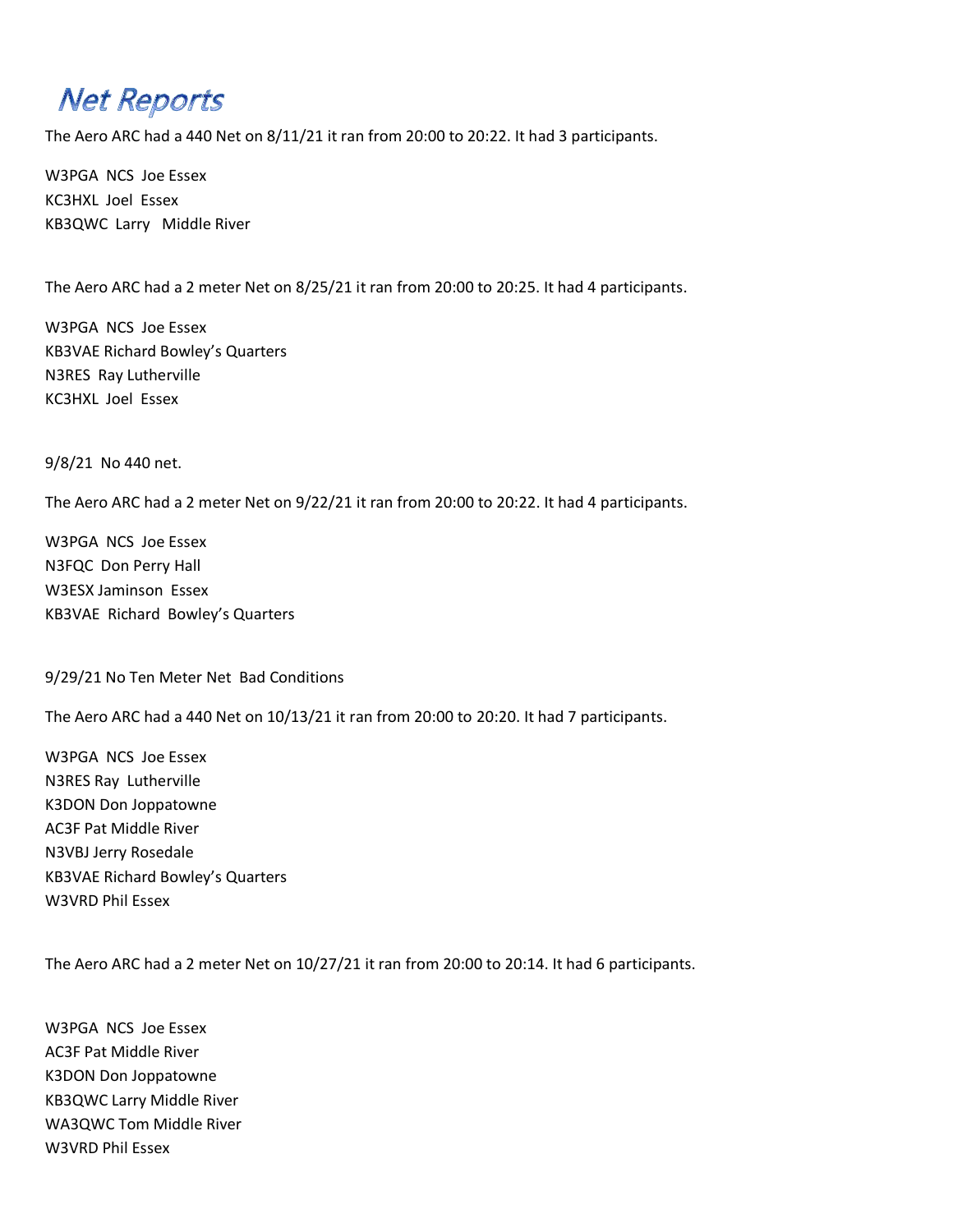# **Net Reports**

The Aero ARC had a 440 Net on 8/11/21 it ran from 20:00 to 20:22. It had 3 participants.

W3PGA NCS Joe Essex KC3HXL Joel Essex KB3QWC Larry Middle River

The Aero ARC had a 2 meter Net on 8/25/21 it ran from 20:00 to 20:25. It had 4 participants.

W3PGA NCS Joe Essex KB3VAE Richard Bowley's Quarters N3RES Ray Lutherville KC3HXL Joel Essex

9/8/21 No 440 net.

The Aero ARC had a 2 meter Net on 9/22/21 it ran from 20:00 to 20:22. It had 4 participants.

W3PGA NCS Joe Essex N3FQC Don Perry Hall W3ESX Jaminson Essex KB3VAE Richard Bowley's Quarters

9/29/21 No Ten Meter Net Bad Conditions

The Aero ARC had a 440 Net on 10/13/21 it ran from 20:00 to 20:20. It had 7 participants.

W3PGA NCS Joe Essex N3RES Ray Lutherville K3DON Don Joppatowne AC3F Pat Middle River N3VBJ Jerry Rosedale KB3VAE Richard Bowley's Quarters W3VRD Phil Essex

The Aero ARC had a 2 meter Net on 10/27/21 it ran from 20:00 to 20:14. It had 6 participants.

W3PGA NCS Joe Essex AC3F Pat Middle River K3DON Don Joppatowne KB3QWC Larry Middle River WA3QWC Tom Middle River W3VRD Phil Essex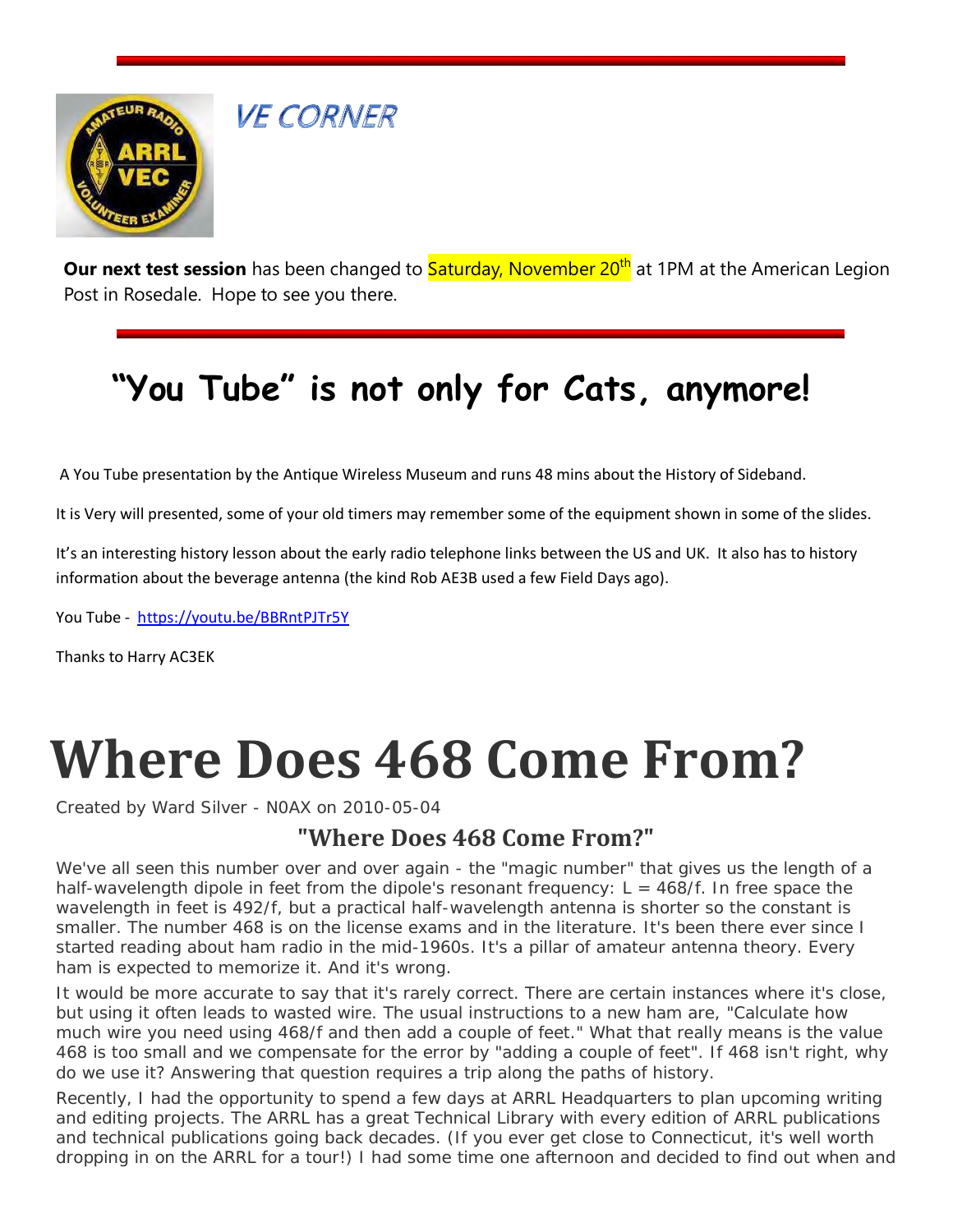

**VE CORNER** 

**Our next test session** has been changed to **Saturday, November 20<sup>th</sup> at 1PM at the American Legion** Post in Rosedale. Hope to see you there.

# **"You Tube" is not only for Cats, anymore!**

A You Tube presentation by the Antique Wireless Museum and runs 48 mins about the History of Sideband.

It is Very will presented, some of your old timers may remember some of the equipment shown in some of the slides.

It's an interesting history lesson about the early radio telephone links between the US and UK. It also has to history information about the beverage antenna (the kind Rob AE3B used a few Field Days ago).

You Tube -<https://youtu.be/BBRntPJTr5Y>

Thanks to Harry AC3EK

# **Where Does 468 Come From?**

Created by Ward Silver - N0AX on 2010-05-04

### **"Where Does 468 Come From?"**

We've all seen this number over and over again - the "magic number" that gives us the length of a half-wavelength dipole in feet from the dipole's resonant frequency:  $L = 468/f$ . In free space the wavelength in feet is 492/f, but a practical half-wavelength antenna is shorter so the constant is smaller. The number 468 is on the license exams and in the literature. It's been there ever since I started reading about ham radio in the mid-1960s. It's a pillar of amateur antenna theory. Every ham is expected to memorize it. And it's wrong.

It would be more accurate to say that it's rarely correct. There are certain instances where it's close, but using it often leads to wasted wire. The usual instructions to a new ham are, "Calculate how much wire you need using 468/f and then add a couple of feet." What that really means is the value 468 is too small and we compensate for the error by "adding a couple of feet". If 468 isn't right, why do we use it? Answering that question requires a trip along the paths of history.

Recently, I had the opportunity to spend a few days at ARRL Headquarters to plan upcoming writing and editing projects. The ARRL has a great Technical Library with every edition of ARRL publications and technical publications going back decades. (If you ever get close to Connecticut, it's well worth dropping in on the ARRL for a tour!) I had some time one afternoon and decided to find out when and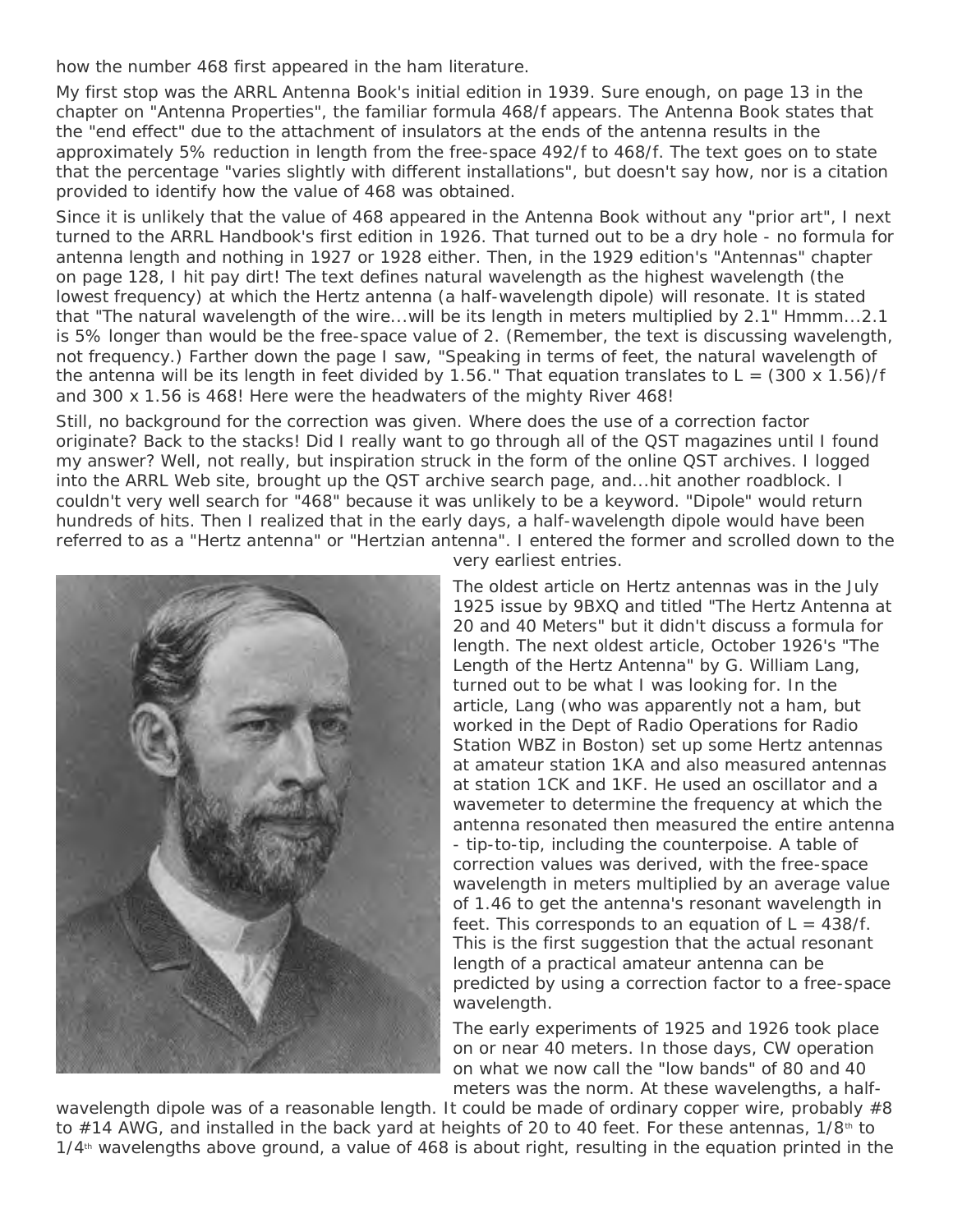how the number 468 first appeared in the ham literature.

My first stop was the *ARRL Antenna Book's* initial edition in 1939. Sure enough, on page 13 in the chapter on "Antenna Properties", the familiar formula 468/f appears. The *Antenna Book* states that the "end effect" due to the attachment of insulators at the ends of the antenna results in the approximately 5% reduction in length from the free-space 492/f to 468/f. The text goes on to state that the percentage "varies slightly with different installations", but doesn't say how, nor is a citation provided to identify how the value of 468 was obtained.

Since it is unlikely that the value of 468 appeared in the *Antenna Book* without any "prior art", I next turned to the *ARRL Handbook's* first edition in 1926. That turned out to be a dry hole - no formula for antenna length and nothing in 1927 or 1928 either. Then, in the 1929 edition's "Antennas" chapter on page 128, I hit pay dirt! The text defines natural wavelength as the highest wavelength (the lowest frequency) at which the Hertz antenna (a half-wavelength dipole) will resonate. It is stated that "The natural wavelength of the wire...will be its length in meters multiplied by 2.1" Hmmm...2.1 is 5% longer than would be the free-space value of 2. (Remember, the text is discussing wavelength, not frequency.) Farther down the page I saw, "Speaking in terms of feet, the natural wavelength of the antenna will be its length in feet divided by 1.56." That equation translates to  $L = (300 \times 1.56)/f$ and 300 x 1.56 is 468! Here were the headwaters of the mighty River 468!

Still, no background for the correction was given. Where does the use of a correction factor originate? Back to the stacks! Did I really want to go through all of the *QST* magazines until I found my answer? Well, not really, but inspiration struck in the form of the online *QST* archives. I logged into the ARRL Web site, brought up the *QST* archive search page, and...hit another roadblock. I couldn't very well search for "468" because it was unlikely to be a keyword. "Dipole" would return hundreds of hits. Then I realized that in the early days, a half-wavelength dipole would have been referred to as a "Hertz antenna" or "Hertzian antenna". I entered the former and scrolled down to the



very earliest entries.

The oldest article on Hertz antennas was in the July 1925 issue by 9BXQ and titled "The Hertz Antenna at 20 and 40 Meters" but it didn't discuss a formula for length. The next oldest article, October 1926's "The Length of the Hertz Antenna" by G. William Lang, turned out to be what I was looking for. In the article, Lang (who was apparently not a ham, but worked in the Dept of Radio Operations for Radio Station WBZ in Boston) set up some Hertz antennas at amateur station 1KA and also measured antennas at station 1CK and 1KF. He used an oscillator and a wavemeter to determine the frequency at which the antenna resonated then measured the entire antenna - tip-to-tip, including the counterpoise. A table of correction values was derived, with the free-space wavelength in meters multiplied by an average value of 1.46 to get the antenna's resonant wavelength in feet. This corresponds to an equation of  $L = 438/f$ . This is the first suggestion that the actual resonant length of a practical amateur antenna can be predicted by using a correction factor to a free-space wavelength.

The early experiments of 1925 and 1926 took place on or near 40 meters. In those days, CW operation on what we now call the "low bands" of 80 and 40 meters was the norm. At these wavelengths, a half-

wavelength dipole was of a reasonable length. It could be made of ordinary copper wire, probably #8 to  $#14$  AWG, and installed in the back yard at heights of 20 to 40 feet. For these antennas,  $1/8$ <sup>th</sup> to  $1/4$ <sup>th</sup> wavelengths above ground, a value of  $468$  is about right, resulting in the equation printed in the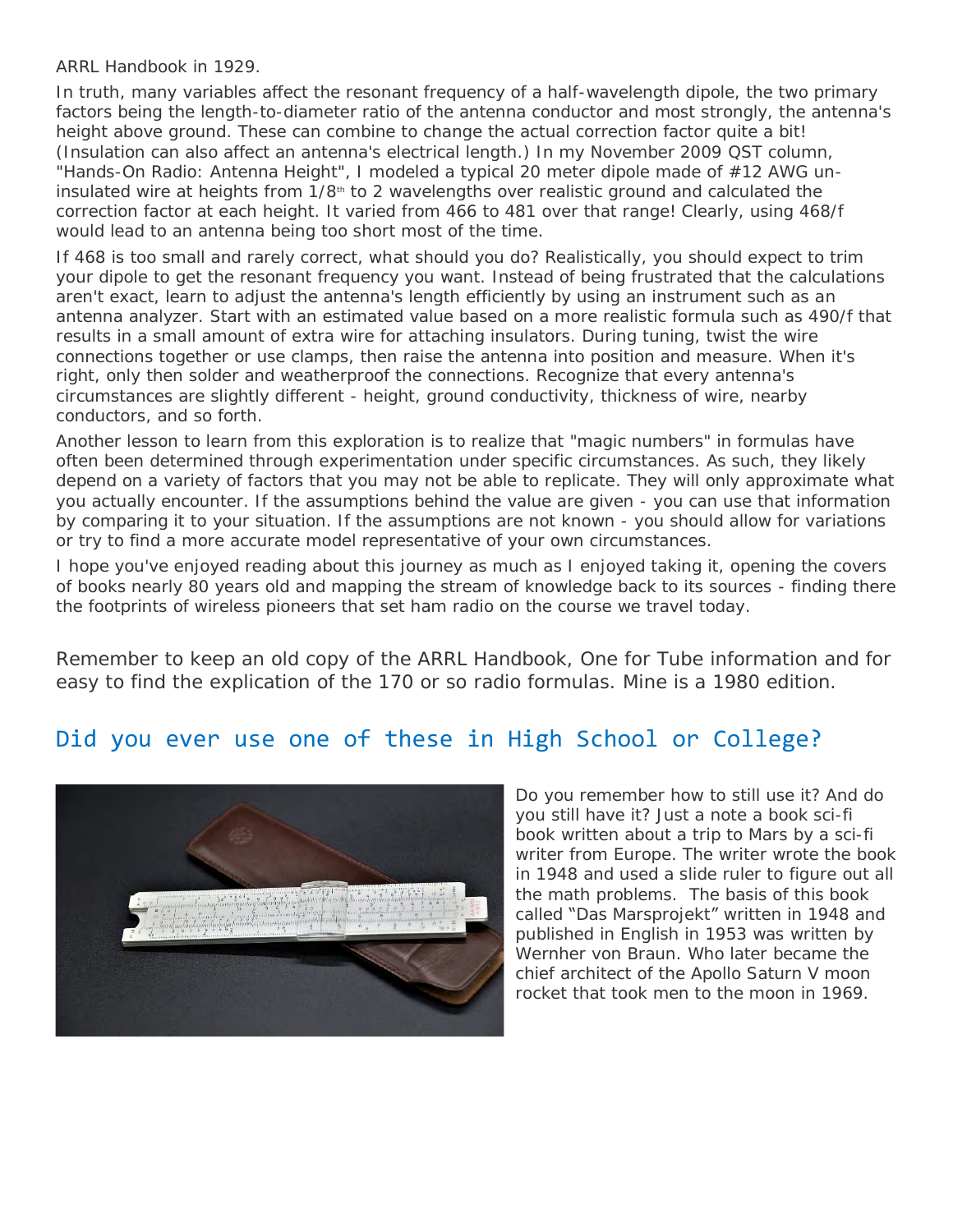#### *ARRL Handbook* in 1929.

In truth, many variables affect the resonant frequency of a half-wavelength dipole, the two primary factors being the length-to-diameter ratio of the antenna conductor and most strongly, the antenna's height above ground. These can combine to change the actual correction factor quite a bit! (Insulation can also affect an antenna's electrical length.) In my November 2009 *QST* column, "Hands-On Radio: Antenna Height", I modeled a typical 20 meter dipole made of #12 AWG uninsulated wire at heights from  $1/8<sup>th</sup>$  to 2 wavelengths over realistic ground and calculated the correction factor at each height. It varied from 466 to 481 over that range! Clearly, using 468/f would lead to an antenna being too short most of the time.

If 468 is too small and rarely correct, what should you do? Realistically, you should expect to trim your dipole to get the resonant frequency you want. Instead of being frustrated that the calculations aren't exact, learn to adjust the antenna's length efficiently by using an instrument such as an antenna analyzer. Start with an estimated value based on a more realistic formula such as 490/f that results in a small amount of extra wire for attaching insulators. During tuning, twist the wire connections together or use clamps, then raise the antenna into position and measure. When it's right, only then solder and weatherproof the connections. Recognize that every antenna's circumstances are slightly different - height, ground conductivity, thickness of wire, nearby conductors, and so forth.

Another lesson to learn from this exploration is to realize that "magic numbers" in formulas have often been determined through experimentation under specific circumstances. As such, they likely depend on a variety of factors that you may not be able to replicate. They will only approximate what you actually encounter. If the assumptions behind the value are given - you can use that information by comparing it to your situation. If the assumptions are not known - you should allow for variations or try to find a more accurate model representative of your own circumstances.

I hope you've enjoyed reading about this journey as much as I enjoyed taking it, opening the covers of books nearly 80 years old and mapping the stream of knowledge back to its sources - finding there the footprints of wireless pioneers that set ham radio on the course we travel today.

*Remember to keep an old copy of the ARRL Handbook, One for Tube information and for easy to find the explication of the 170 or so radio formulas. Mine is a 1980 edition.*

### Did you ever use one of these in High School or College?



Do you remember how to still use it? And do you still have it? Just a note a book sci-fi book written about a trip to Mars by a sci-fi writer from Europe. The writer wrote the book in 1948 and used a slide ruler to figure out all the math problems. The basis of this book called "Das Marsprojekt" written in 1948 and published in English in 1953 was written by Wernher von Braun. Who later became the chief architect of the Apollo Saturn V moon rocket that took men to the moon in 1969.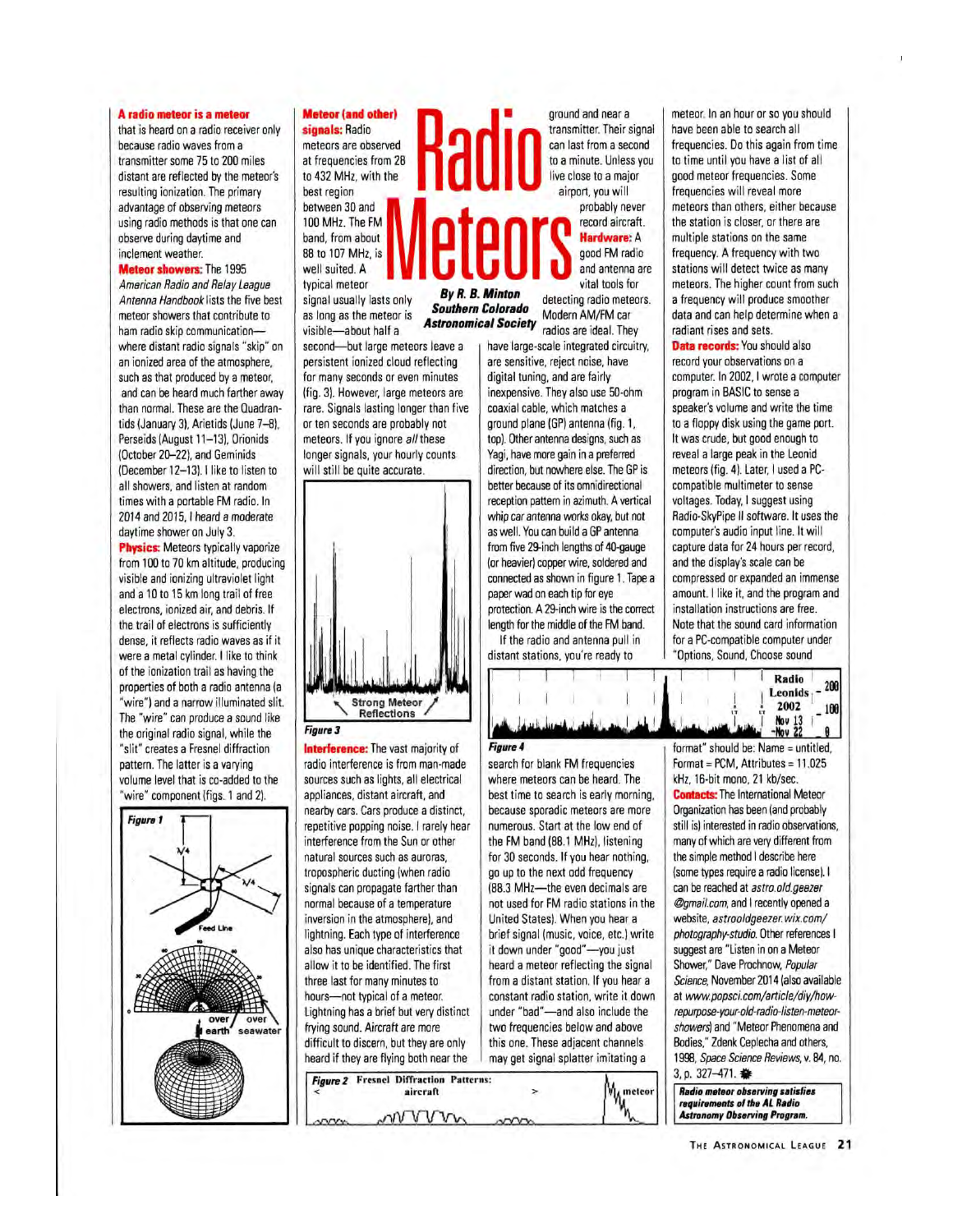#### A radio meteor is a meteor

that is heard on a radio receiver only because radio waves from a transmitter some 75 to 200 miles distant are reflected by the meteor's resulting ionization. The primary advantage of observing meteors using radio methods is that one can observe during daytime and inclement weather.

**Meteor showers: The 1995** American Radio and Relay League Antenna Handbook lists the five best meteor showers that contribute to ham radio skip communicationwhere distant radio signals "skip" on an ionized area of the atmosphere, such as that produced by a meteor, and can be heard much farther away than normal. These are the Quadrantids (January 3), Arietids (June 7-8), Perseids (August 11-13), Orionids (October 20-22), and Geminids (December 12-13). I like to listen to all showers, and listen at random times with a portable FM radio. In 2014 and 2015, I heard a moderate daytime shower on July 3.

**Physics:** Meteors typically vaporize from 100 to 70 km altitude, producing visible and ionizing ultraviolet light and a 10 to 15 km long trail of free electrons, ionized air, and debris. If the trail of electrons is sufficiently dense, it reflects radio waves as if it were a metal cylinder. I like to think of the ionization trail as having the properties of both a radio antenna (a "wire") and a narrow illuminated slit. The "wire" can produce a sound like the original radio signal, while the "slit" creates a Fresnel diffraction pattern. The latter is a varying volume level that is co-added to the "wire" component (figs. 1 and 2).



#### **Meteor (and other)** signals: Radio

meteors are observed at frequencies from 28 to 432 MHz, with the best region between 30 and 100 MHz. The FM band, from about 88 to 107 MHz, is well suited. A typical meteor

signal usually lasts only as long as the meteor is visible-about half a second-but large meteors leave a

persistent ionized cloud reflecting for many seconds or even minutes (fig. 3). However, large meteors are rare. Signals lasting longer than five or ten seconds are probably not meteors. If you ignore all these longer signals, your hourly counts will still be quite accurate.



**Figure 3** 

**Interference:** The vast majority of radio interference is from man-made sources such as lights, all electrical appliances, distant aircraft, and nearby cars. Cars produce a distinct. repetitive popping noise. I rarely hear interference from the Sun or other natural sources such as auroras, tropospheric ducting (when radio signals can propagate farther than normal because of a temperature inversion in the atmosphere), and lightning. Each type of interference also has unique characteristics that allow it to be identified. The first three last for many minutes to hours-not typical of a meteor. Lightning has a brief but very distinct frying sound. Aircraft are more difficult to discern, but they are only heard if they are flying both near the Figure 2 Fresnel Diffraction Patterns:

aircraft

wvvm

ground and near a transmitter. Their signal can last from a second to a minute. Unless you live close to a major airport, you will probably never

record aircraft. Hardware: A good FM radio and antenna are vital tools for

By R. B. Minton detecting radio meteors. **Southern Colorado** Modern AM/FM car **Astronomical Society** radios are ideal. They

> have large-scale integrated circuitry. are sensitive, reject noise, have digital tuning, and are fairly inexpensive. They also use 50-ohm coaxial cable, which matches a ground plane (GP) antenna (fig. 1, top). Other antenna designs, such as Yagi, have more gain in a preferred direction, but nowhere else. The GP is better because of its omnidirectional reception pattern in azimuth. A vertical whip car antenna works okay, but not as well. You can build a GP antenna from five 29-inch lengths of 40-gauge (or heavier) copper wire, soldered and connected as shown in figure 1. Tape a paper wad on each tip for eye protection. A 29-inch wire is the correct length for the middle of the FM band.

If the radio and antenna pull in distant stations, you're ready to

Radio 200 Leonids .-2002 100 Nov 13 Figure 4 format" should be: Name = untitled, search for blank FM frequencies Format = PCM, Attributes = 11.025

where meteors can be heard. The best time to search is early morning. because sporadic meteors are more numerous. Start at the low end of the FM band (88.1 MHz), listening for 30 seconds. If you hear nothing, go up to the next odd frequency (88.3 MHz-the even decimals are not used for FM radio stations in the United States). When you hear a brief signal (music, voice, etc.) write it down under "good"-you just heard a meteor reflecting the signal from a distant station. If you hear a constant radio station, write it down under "bad"-and also include the two frequencies below and above this one. These adjacent channels may get signal splatter imitating a

 $\rightarrow$ 

m

**M** meteor



Data records: You should also record your observations on a computer. In 2002, I wrote a computer program in BASIC to sense a speaker's volume and write the time to a floppy disk using the game port. It was crude, but good enough to reveal a large peak in the Leonid meteors (fig. 4). Later, I used a PCcompatible multimeter to sense voltages. Today, I suggest using Radio-SkyPipe II software. It uses the computer's audio input line. It will capture data for 24 hours per record, and the display's scale can be compressed or expanded an immense amount. I like it, and the program and installation instructions are free. Note that the sound card information for a PC-compatible computer under "Options, Sound, Choose sound



requirements of the AL Radio<br>Astronomy Observing Program.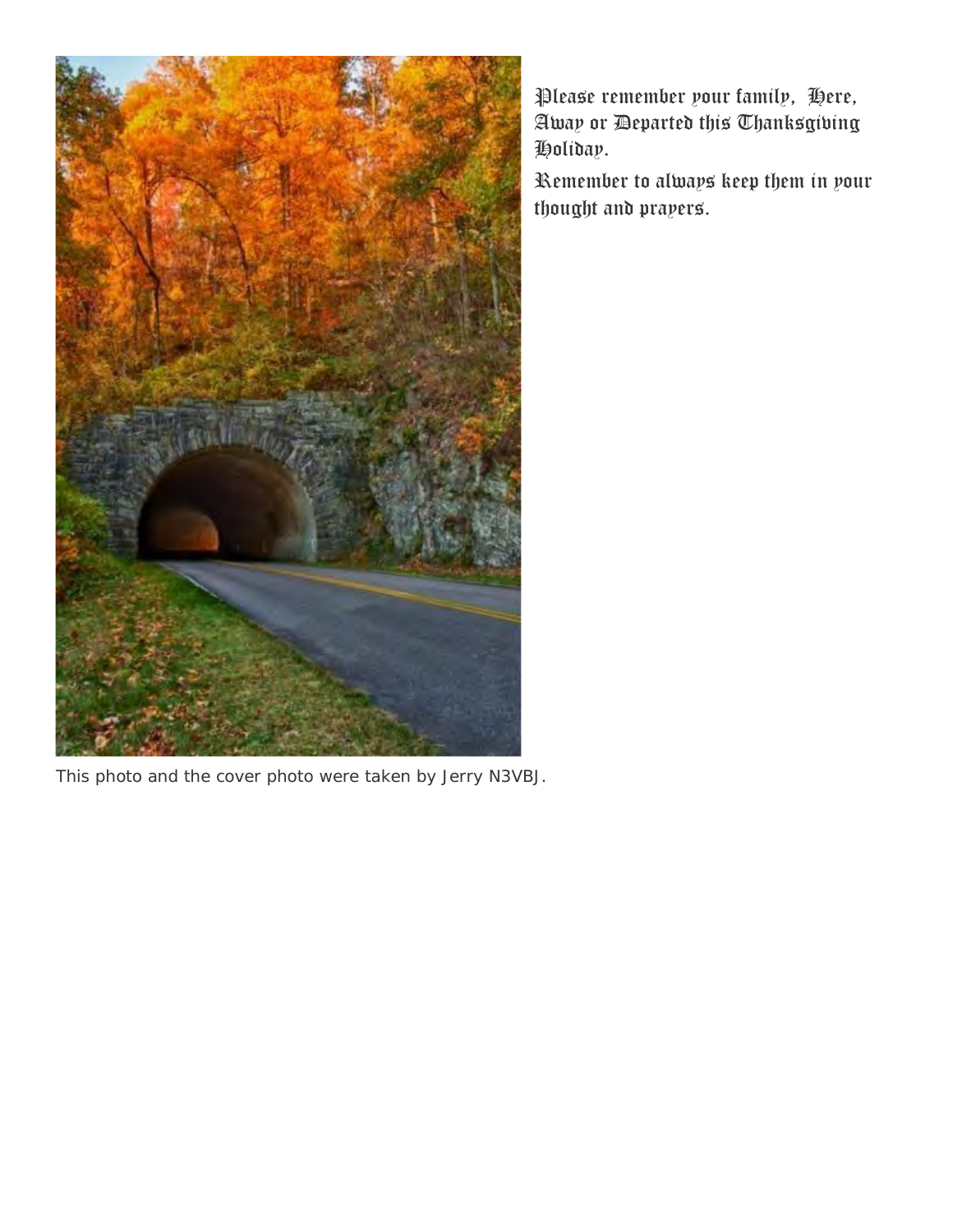

Please remember your family, Here, Away or Departed this Thanksgiving Holiday.

Remember to always keep them in your thought and prayers.

This photo and the cover photo were taken by Jerry N3VBJ.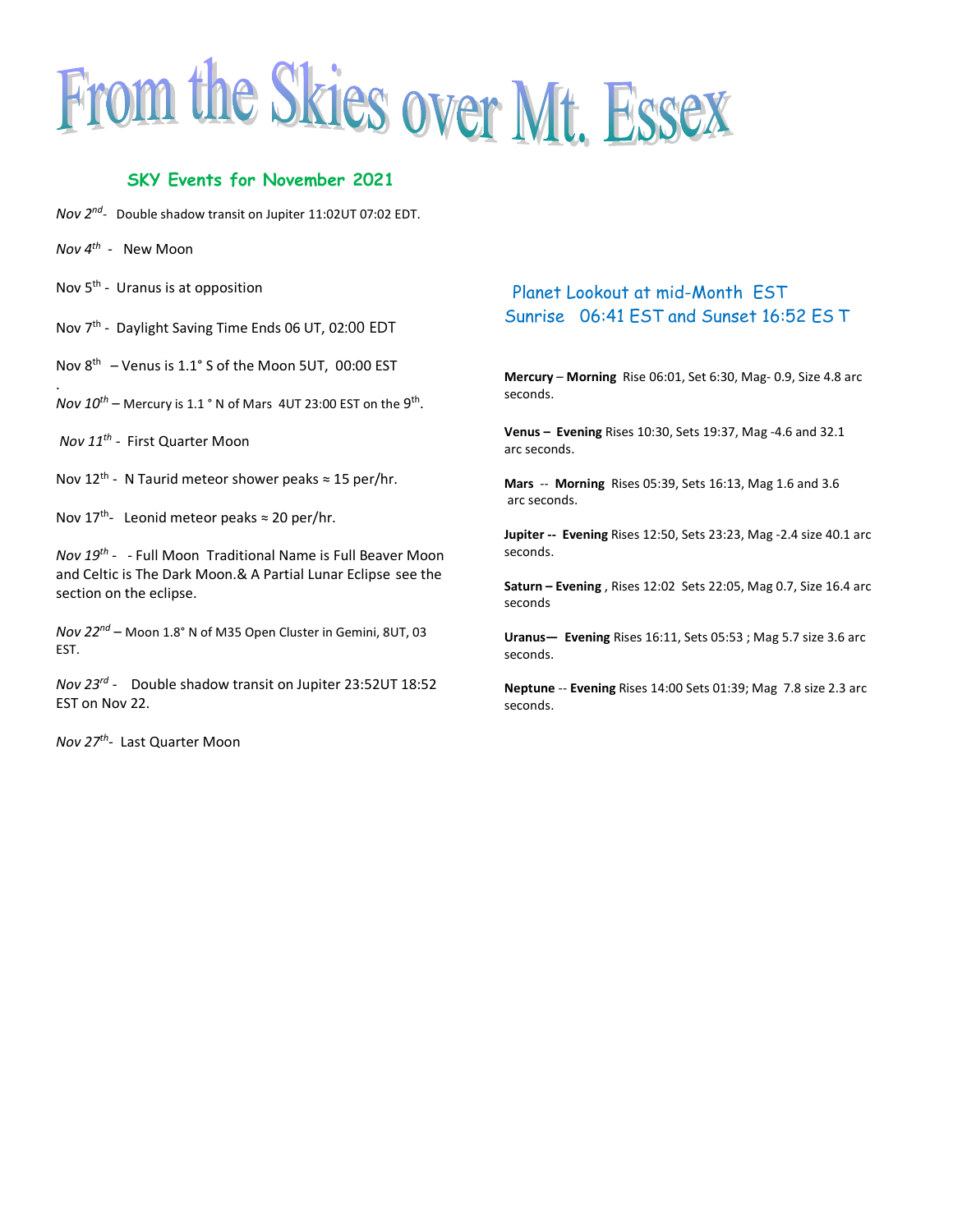

### **SKY Events for November 2021**

- *Nov 2nd -* Double shadow transit on Jupiter 11:02UT 07:02 EDT.
- *Nov 4th -* New Moon

.

- Nov 5<sup>th</sup> Uranus is at opposition
- Nov 7<sup>th</sup> Daylight Saving Time Ends 06 UT, 02:00 EDT
- Nov 8th Venus is 1.1° S of the Moon 5UT, 00:00 EST
- $Nov 10<sup>th</sup>$  Mercury is 1.1 ° N of Mars 4UT 23:00 EST on the 9<sup>th</sup>.
- *Nov 11th -* First Quarter Moon
- Nov 12<sup>th</sup> N Taurid meteor shower peaks  $\approx$  15 per/hr.
- Nov 17<sup>th</sup>- Leonid meteor peaks  $\approx$  20 per/hr.
- *Nov 19th* - Full Moon Traditional Name is Full Beaver Moon and Celtic is The Dark Moon.& A Partial Lunar Eclipse see the section on the eclipse.
- *Nov 22nd* Moon 1.8° N of M35 Open Cluster in Gemini, 8UT, 03 EST.
- *Nov 23 rd* Double shadow transit on Jupiter 23:52UT 18:52 EST on Nov 22.
- *Nov 27th* Last Quarter Moon

### Planet Lookout at mid-Month EST Sunrise 06:41 EST and Sunset 16:52 ES T

**Mercury** – **Morning** Rise 06:01, Set 6:30, Mag- 0.9, Size 4.8 arc seconds.

**Venus – Evening** Rises 10:30, Sets 19:37, Mag -4.6 and 32.1 arc seconds.

**Mars** -- **Morning** Rises 05:39, Sets 16:13, Mag 1.6 and 3.6 arc seconds.

**Jupiter -- Evening** Rises 12:50, Sets 23:23, Mag -2.4 size 40.1 arc seconds.

**Saturn – Evening** , Rises 12:02 Sets 22:05, Mag 0.7, Size 16.4 arc seconds

**Uranus— Evening** Rises 16:11, Sets 05:53 ; Mag 5.7 size 3.6 arc seconds.

**Neptune** -- **Evening** Rises 14:00 Sets 01:39; Mag 7.8 size 2.3 arc seconds.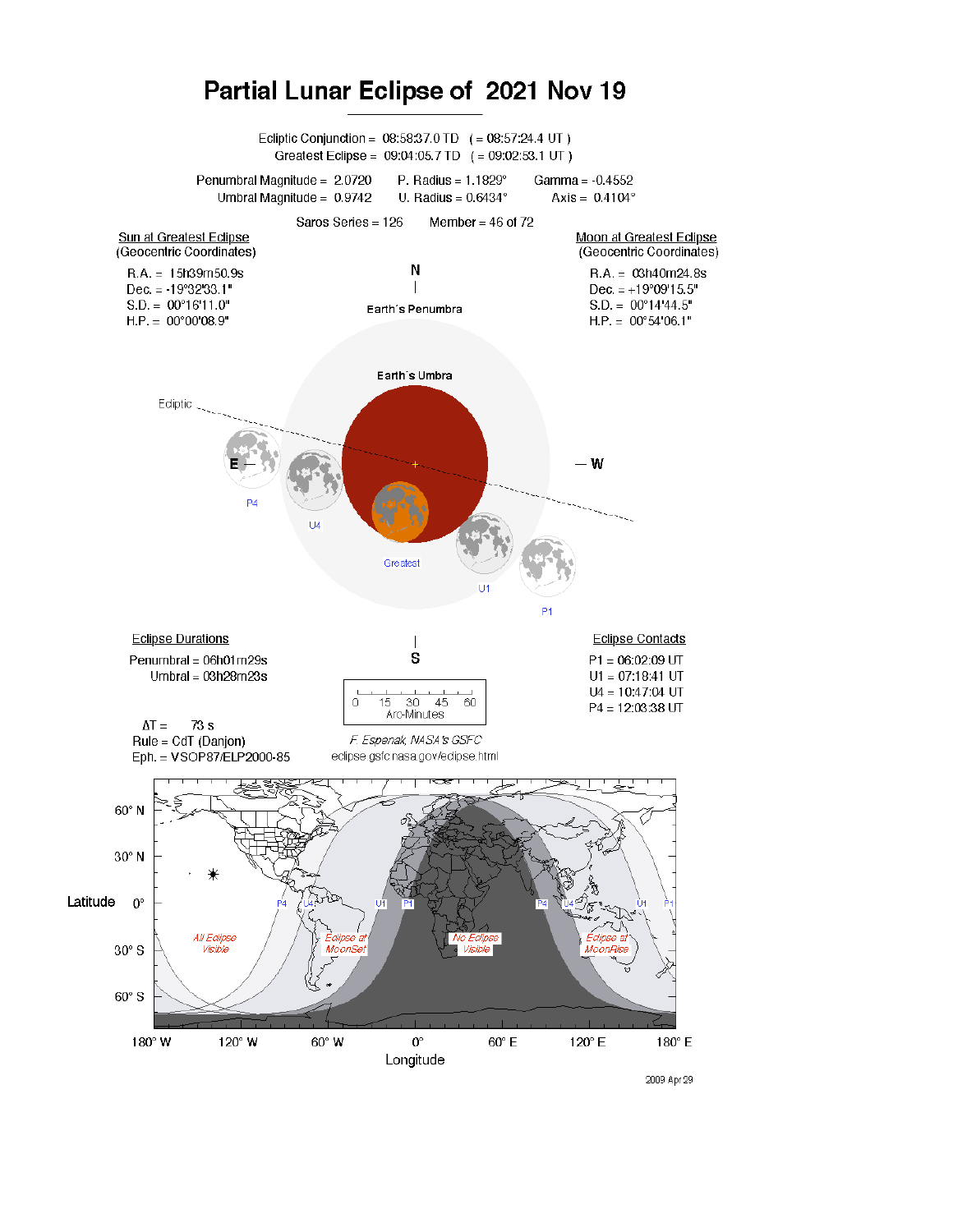

## Partial Lunar Eclipse of 2021 Nov 19

2009 Apr 29